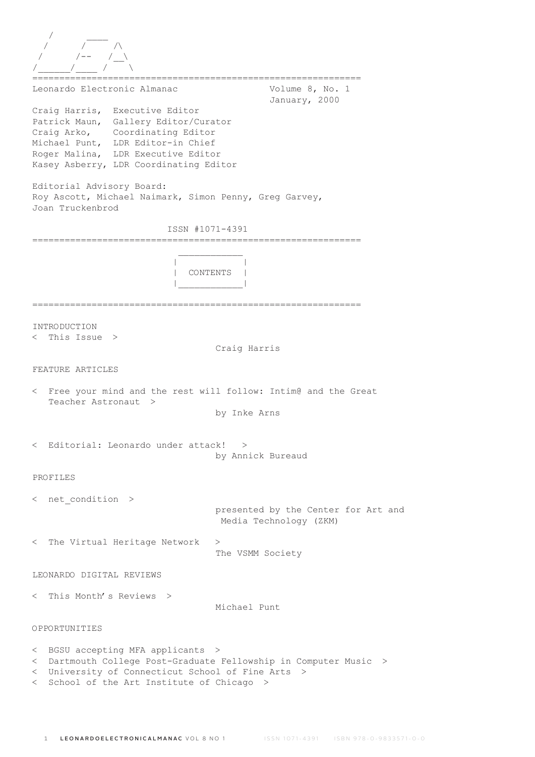| Leonardo Electronic Almanac<br>Craig Harris, Executive Editor                                                                                                                                | Volume 8, No. 1<br>January, 2000                                      |
|----------------------------------------------------------------------------------------------------------------------------------------------------------------------------------------------|-----------------------------------------------------------------------|
| Patrick Maun, Gallery Editor/Curator<br>Craig Arko, Coordinating Editor<br>Michael Punt, LDR Editor-in Chief<br>Roger Malina, LDR Executive Editor<br>Kasey Asberry, LDR Coordinating Editor |                                                                       |
| Editorial Advisory Board:<br>Roy Ascott, Michael Naimark, Simon Penny, Greg Garvey,<br>Joan Truckenbrod                                                                                      |                                                                       |
| ISSN #1071-4391                                                                                                                                                                              |                                                                       |
|                                                                                                                                                                                              | CONTENTS                                                              |
| INTRODUCTION<br>This Issue $>$<br>$\,<\,$                                                                                                                                                    | Craig Harris                                                          |
| FEATURE ARTICLES                                                                                                                                                                             |                                                                       |
| < Free your mind and the rest will follow: Intim@ and the Great<br>Teacher Astronaut<br>>                                                                                                    | by Inke Arns                                                          |
| < Editorial: Leonardo under attack!                                                                                                                                                          | ><br>by Annick Bureaud                                                |
| PROFILES                                                                                                                                                                                     |                                                                       |
| $\langle$ net condition $\rangle$                                                                                                                                                            | presented by the Center for Art and<br>Media Technology (ZKM)         |
| < The Virtual Heritage Network                                                                                                                                                               | ><br>The VSMM Society                                                 |
| LEONARDO DIGITAL REVIEWS                                                                                                                                                                     |                                                                       |
| < This Month's Reviews >                                                                                                                                                                     | Michael Punt                                                          |
| OPPORTUNITIES                                                                                                                                                                                |                                                                       |
| BGSU accepting MFA applicants<br>$\lt$<br>$\lt$<br>< University of Connecticut School of Fine Arts ><br>School of the Art Institute of Chicago ><br>$\lt$                                    | - ><br>Dartmouth College Post-Graduate Fellowship in Computer Music > |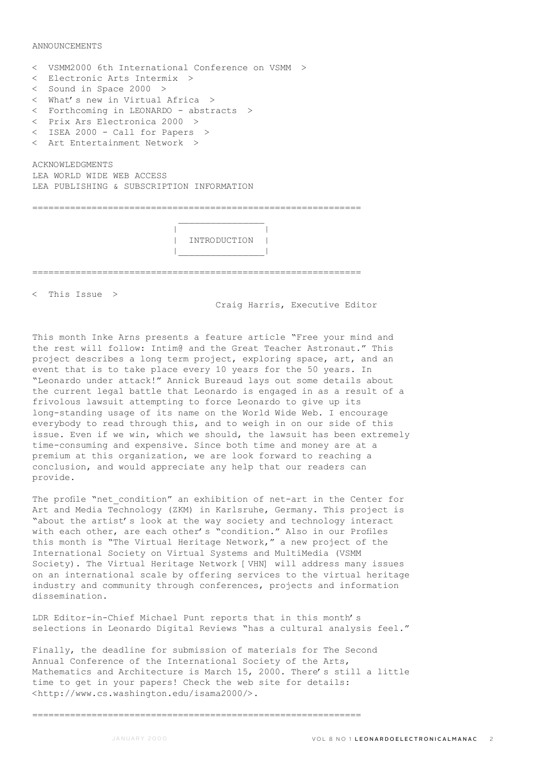ANNOUNCEMENTS

| < VSMM2000 6th International Conference on VSMM > |  |  |  |  |  |
|---------------------------------------------------|--|--|--|--|--|
| < Electronic Arts Intermix >                      |  |  |  |  |  |
| $<$ Sound in Space 2000 $>$                       |  |  |  |  |  |
| < What's new in Virtual Africa >                  |  |  |  |  |  |
| < Forthcoming in LEONARDO - abstracts >           |  |  |  |  |  |
| < Prix Ars Electronica 2000 >                     |  |  |  |  |  |
| < ISEA 2000 - Call for Papers >                   |  |  |  |  |  |
| < Art Entertainment Network >                     |  |  |  |  |  |
| <b>ACKNOWLEDGMENTS</b>                            |  |  |  |  |  |
| LEA WORLD WIDE WEB ACCESS                         |  |  |  |  |  |
| LEA PUBLISHING & SUBSCRIPTION INFORMATION         |  |  |  |  |  |
|                                                   |  |  |  |  |  |
|                                                   |  |  |  |  |  |
|                                                   |  |  |  |  |  |
| INTRODUCTION                                      |  |  |  |  |  |
|                                                   |  |  |  |  |  |
|                                                   |  |  |  |  |  |
|                                                   |  |  |  |  |  |

=============================================================

< This Issue >

Craig Harris, Executive Editor

This month Inke Arns presents a feature article "Free your mind and the rest will follow: Intim@ and the Great Teacher Astronaut." This project describes a long term project, exploring space, art, and an event that is to take place every 10 years for the 50 years. In "Leonardo under attack!" Annick Bureaud lays out some details about the current legal battle that Leonardo is engaged in as a result of a frivolous lawsuit attempting to force Leonardo to give up its long-standing usage of its name on the World Wide Web. I encourage everybody to read through this, and to weigh in on our side of this issue. Even if we win, which we should, the lawsuit has been extremely time-consuming and expensive. Since both time and money are at a premium at this organization, we are look forward to reaching a conclusion, and would appreciate any help that our readers can provide.

The profile "net condition" an exhibition of net-art in the Center for Art and Media Technology (ZKM) in Karlsruhe, Germany. This project is "about the artist's look at the way society and technology interact with each other, are each other's "condition." Also in our Profiles this month is "The Virtual Heritage Network," a new project of the International Society on Virtual Systems and MultiMedia (VSMM Society). The Virtual Heritage Network [VHN] will address many issues on an international scale by offering services to the virtual heritage industry and community through conferences, projects and information dissemination.

LDR Editor-in-Chief Michael Punt reports that in this month's selections in Leonardo Digital Reviews "has a cultural analysis feel."

Finally, the deadline for submission of materials for The Second Annual Conference of the International Society of the Arts, Mathematics and Architecture is March 15, 2000. There's still a little time to get in your papers! Check the web site for details: <http://www.cs.washington.edu/isama2000/>.

=============================================================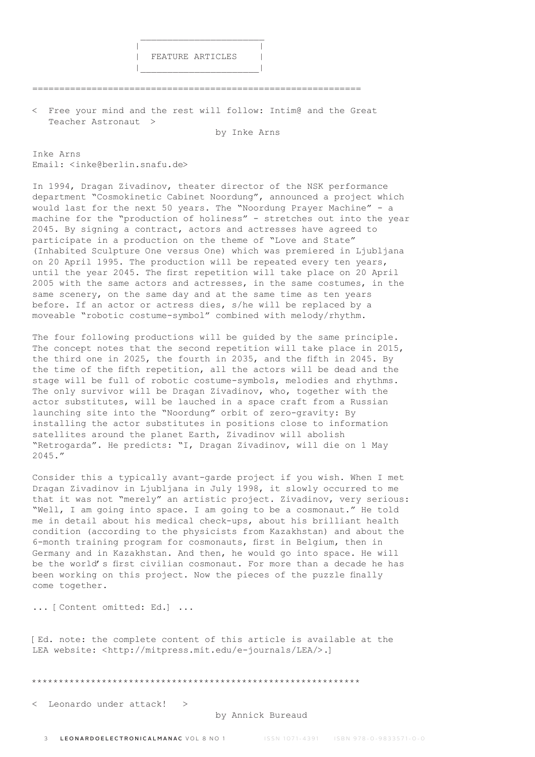

 $\mathcal{L}_\text{max}$  and  $\mathcal{L}_\text{max}$  and  $\mathcal{L}_\text{max}$  and  $\mathcal{L}_\text{max}$  and  $\mathcal{L}_\text{max}$ 

|\_\_\_\_\_\_\_\_\_\_\_\_\_\_\_\_\_\_\_\_\_\_|

=============================================================

< Free your mind and the rest will follow: Intim@ and the Great Teacher Astronaut >

by Inke Arns

Inke Arns Email: <inke@berlin.snafu.de>

In 1994, Dragan Zivadinov, theater director of the NSK performance department "Cosmokinetic Cabinet Noordung", announced a project which would last for the next 50 years. The "Noordung Prayer Machine" - a machine for the "production of holiness" - stretches out into the year 2045. By signing a contract, actors and actresses have agreed to participate in a production on the theme of "Love and State" (Inhabited Sculpture One versus One) which was premiered in Ljubljana on 20 April 1995. The production will be repeated every ten years, until the year 2045. The first repetition will take place on 20 April 2005 with the same actors and actresses, in the same costumes, in the same scenery, on the same day and at the same time as ten years before. If an actor or actress dies, s/he will be replaced by a moveable "robotic costume-symbol" combined with melody/rhythm.

The four following productions will be guided by the same principle. The concept notes that the second repetition will take place in 2015, the third one in 2025, the fourth in 2035, and the fifth in 2045. By the time of the fifth repetition, all the actors will be dead and the stage will be full of robotic costume-symbols, melodies and rhythms. The only survivor will be Dragan Zivadinov, who, together with the actor substitutes, will be lauched in a space craft from a Russian launching site into the "Noordung" orbit of zero-gravity: By installing the actor substitutes in positions close to information satellites around the planet Earth, Zivadinov will abolish "Retrogarda". He predicts: "I, Dragan Zivadinov, will die on 1 May 2045."

Consider this a typically avant-garde project if you wish. When I met Dragan Zivadinov in Ljubljana in July 1998, it slowly occurred to me that it was not "merely" an artistic project. Zivadinov, very serious: "Well, I am going into space. I am going to be a cosmonaut." He told me in detail about his medical check-ups, about his brilliant health condition (according to the physicists from Kazakhstan) and about the 6-month training program for cosmonauts, first in Belgium, then in Germany and in Kazakhstan. And then, he would go into space. He will be the world's first civilian cosmonaut. For more than a decade he has been working on this project. Now the pieces of the puzzle finally come together.

... [Content omitted: Ed.] ...

[Ed. note: the complete content of this article is available at the LEA website: <http://mitpress.mit.edu/e-journals/LEA/>.]

\*\*\*\*\*\*\*\*\*\*\*\*\*\*\*\*\*\*\*\*\*\*\*\*\*\*\*\*\*\*\*\*\*\*\*\*\*\*\*\*\*\*\*\*\*\*\*\*\*\*\*\*\*\*\*\*\*\*\*\*\*

< Leonardo under attack! >

### by Annick Bureaud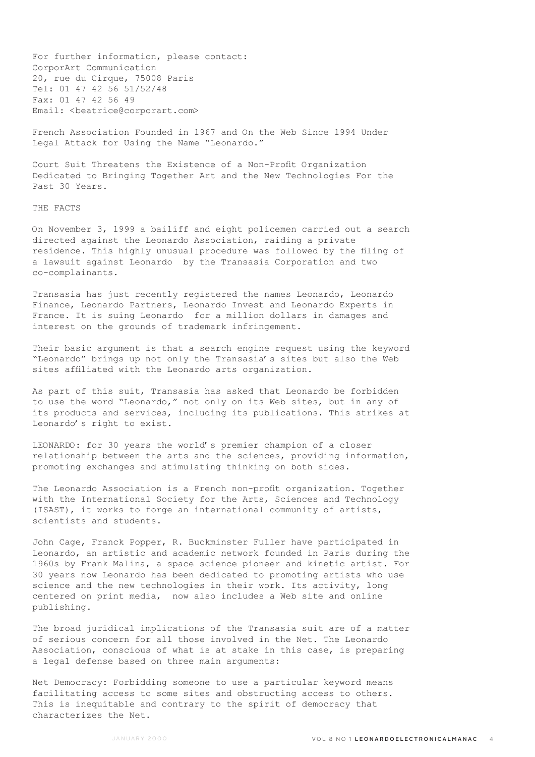For further information, please contact: CorporArt Communication 20, rue du Cirque, 75008 Paris Tel: 01 47 42 56 51/52/48 Fax: 01 47 42 56 49 Email: <beatrice@corporart.com>

French Association Founded in 1967 and On the Web Since 1994 Under Legal Attack for Using the Name "Leonardo."

Court Suit Threatens the Existence of a Non-Profit Organization Dedicated to Bringing Together Art and the New Technologies For the Past 30 Years.

### THE FACTS

On November 3, 1999 a bailiff and eight policemen carried out a search directed against the Leonardo Association, raiding a private residence. This highly unusual procedure was followed by the filing of a lawsuit against Leonardo by the Transasia Corporation and two co-complainants.

Transasia has just recently registered the names Leonardo, Leonardo Finance, Leonardo Partners, Leonardo Invest and Leonardo Experts in France. It is suing Leonardo for a million dollars in damages and interest on the grounds of trademark infringement.

Their basic argument is that a search engine request using the keyword "Leonardo" brings up not only the Transasia's sites but also the Web sites affiliated with the Leonardo arts organization.

As part of this suit, Transasia has asked that Leonardo be forbidden to use the word "Leonardo," not only on its Web sites, but in any of its products and services, including its publications. This strikes at Leonardo's right to exist.

LEONARDO: for 30 years the world's premier champion of a closer relationship between the arts and the sciences, providing information, promoting exchanges and stimulating thinking on both sides.

The Leonardo Association is a French non-profit organization. Together with the International Society for the Arts, Sciences and Technology (ISAST), it works to forge an international community of artists, scientists and students.

John Cage, Franck Popper, R. Buckminster Fuller have participated in Leonardo, an artistic and academic network founded in Paris during the 1960s by Frank Malina, a space science pioneer and kinetic artist. For 30 years now Leonardo has been dedicated to promoting artists who use science and the new technologies in their work. Its activity, long centered on print media, now also includes a Web site and online publishing.

The broad juridical implications of the Transasia suit are of a matter of serious concern for all those involved in the Net. The Leonardo Association, conscious of what is at stake in this case, is preparing a legal defense based on three main arguments:

Net Democracy: Forbidding someone to use a particular keyword means facilitating access to some sites and obstructing access to others. This is inequitable and contrary to the spirit of democracy that characterizes the Net.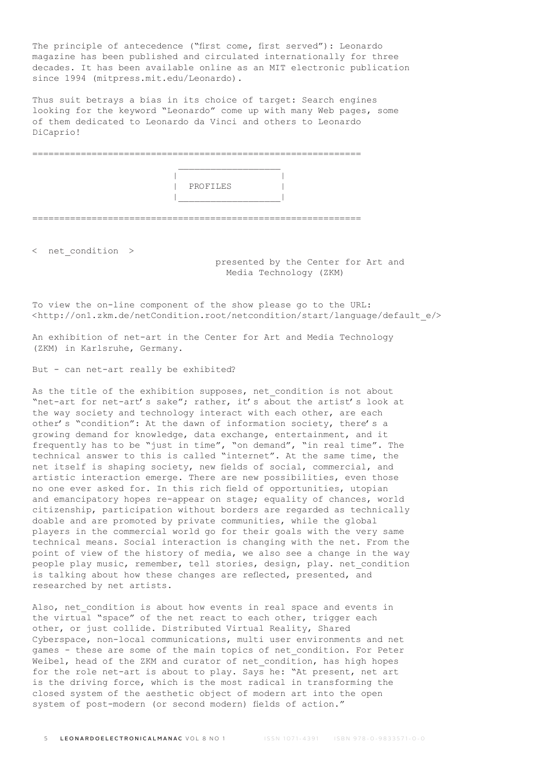The principle of antecedence ("first come, first served"): Leonardo magazine has been published and circulated internationally for three decades. It has been available online as an MIT electronic publication since 1994 (mitpress.mit.edu/Leonardo).

Thus suit betrays a bias in its choice of target: Search engines looking for the keyword "Leonardo" come up with many Web pages, some of them dedicated to Leonardo da Vinci and others to Leonardo DiCaprio!

|             |                                | ________________ |
|-------------|--------------------------------|------------------|
|             |                                |                  |
|             | PROFILES                       |                  |
|             |                                |                  |
|             |                                |                  |
| ----------- | ______________________________ |                  |

< net\_condition >

## presented by the Center for Art and Media Technology (ZKM)

To view the on-line component of the show please go to the URL: <http://on1.zkm.de/netCondition.root/netcondition/start/language/default\_e/>

An exhibition of net-art in the Center for Art and Media Technology (ZKM) in Karlsruhe, Germany.

But - can net-art really be exhibited?

As the title of the exhibition supposes, net condition is not about "net-art for net-art's sake"; rather, it's about the artist's look at the way society and technology interact with each other, are each other's "condition": At the dawn of information society, there's a growing demand for knowledge, data exchange, entertainment, and it frequently has to be "just in time", "on demand", "in real time". The technical answer to this is called "internet". At the same time, the net itself is shaping society, new fields of social, commercial, and artistic interaction emerge. There are new possibilities, even those no one ever asked for. In this rich field of opportunities, utopian and emancipatory hopes re-appear on stage; equality of chances, world citizenship, participation without borders are regarded as technically doable and are promoted by private communities, while the global players in the commercial world go for their goals with the very same technical means. Social interaction is changing with the net. From the point of view of the history of media, we also see a change in the way people play music, remember, tell stories, design, play. net condition is talking about how these changes are reflected, presented, and researched by net artists.

Also, net condition is about how events in real space and events in the virtual "space" of the net react to each other, trigger each other, or just collide. Distributed Virtual Reality, Shared Cyberspace, non-local communications, multi user environments and net games - these are some of the main topics of net\_condition. For Peter Weibel, head of the ZKM and curator of net condition, has high hopes for the role net-art is about to play. Says he: "At present, net art is the driving force, which is the most radical in transforming the closed system of the aesthetic object of modern art into the open system of post-modern (or second modern) fields of action."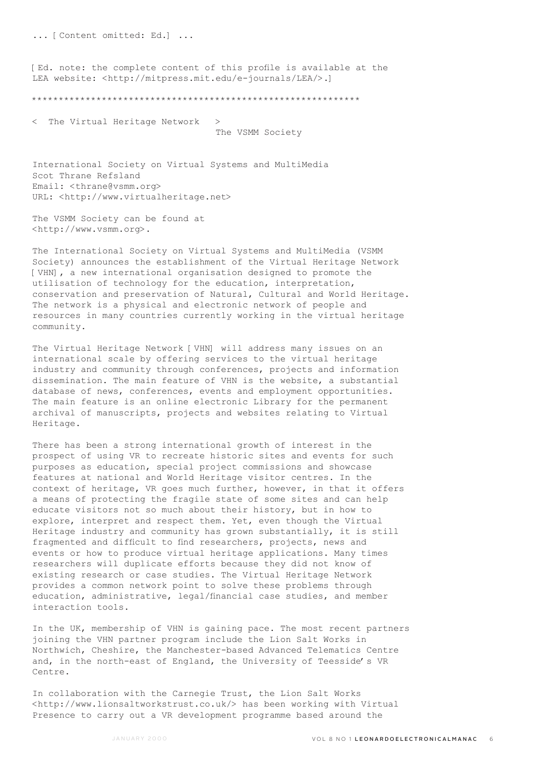... [Content omitted: Ed.] ...

[Ed. note: the complete content of this profile is available at the LEA website: <http://mitpress.mit.edu/e-journals/LEA/>.]

\*\*\*\*\*\*\*\*\*\*\*\*\*\*\*\*\*\*\*\*\*\*\*\*\*\*\*\*\*\*\*\*\*\*\*\*\*\*\*\*\*\*\*\*\*\*\*\*\*\*\*\*\*\*\*\*\*\*\*\*\*

The Virtual Heritage Network > The VSMM Society

International Society on Virtual Systems and MultiMedia Scot Thrane Refsland Email: <thrane@vsmm.org> URL: <http://www.virtualheritage.net>

The VSMM Society can be found at <http://www.vsmm.org>.

The International Society on Virtual Systems and MultiMedia (VSMM Society) announces the establishment of the Virtual Heritage Network [VHN], a new international organisation designed to promote the utilisation of technology for the education, interpretation, conservation and preservation of Natural, Cultural and World Heritage. The network is a physical and electronic network of people and resources in many countries currently working in the virtual heritage community.

The Virtual Heritage Network [VHN] will address many issues on an international scale by offering services to the virtual heritage industry and community through conferences, projects and information dissemination. The main feature of VHN is the website, a substantial database of news, conferences, events and employment opportunities. The main feature is an online electronic Library for the permanent archival of manuscripts, projects and websites relating to Virtual Heritage.

There has been a strong international growth of interest in the prospect of using VR to recreate historic sites and events for such purposes as education, special project commissions and showcase features at national and World Heritage visitor centres. In the context of heritage, VR goes much further, however, in that it offers a means of protecting the fragile state of some sites and can help educate visitors not so much about their history, but in how to explore, interpret and respect them. Yet, even though the Virtual Heritage industry and community has grown substantially, it is still fragmented and difficult to find researchers, projects, news and events or how to produce virtual heritage applications. Many times researchers will duplicate efforts because they did not know of existing research or case studies. The Virtual Heritage Network provides a common network point to solve these problems through education, administrative, legal/financial case studies, and member interaction tools.

In the UK, membership of VHN is gaining pace. The most recent partners joining the VHN partner program include the Lion Salt Works in Northwich, Cheshire, the Manchester-based Advanced Telematics Centre and, in the north-east of England, the University of Teesside's VR Centre.

In collaboration with the Carnegie Trust, the Lion Salt Works <http://www.lionsaltworkstrust.co.uk/> has been working with Virtual Presence to carry out a VR development programme based around the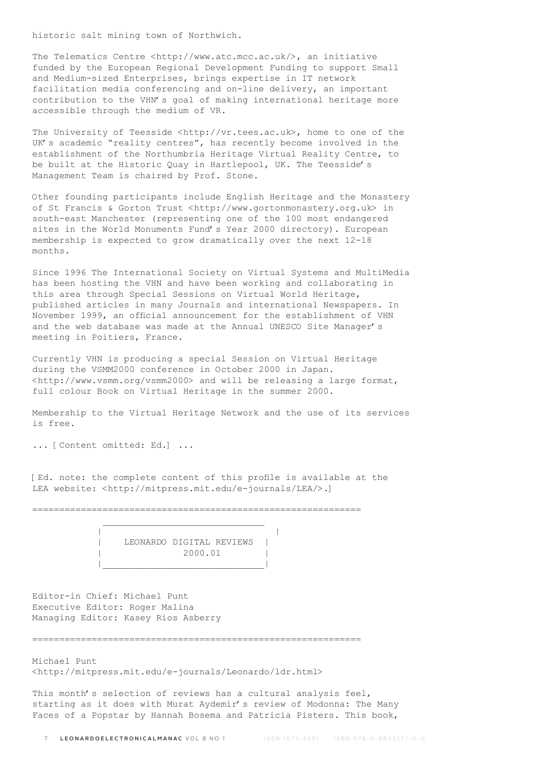historic salt mining town of Northwich.

The Telematics Centre <http://www.atc.mcc.ac.uk/>, an initiative funded by the European Regional Development Funding to support Small and Medium-sized Enterprises, brings expertise in IT network facilitation media conferencing and on-line delivery, an important contribution to the VHN's goal of making international heritage more accessible through the medium of VR.

The University of Teesside <http://vr.tees.ac.uk>, home to one of the UK's academic "reality centres", has recently become involved in the establishment of the Northumbria Heritage Virtual Reality Centre, to be built at the Historic Quay in Hartlepool, UK. The Teesside's Management Team is chaired by Prof. Stone.

Other founding participants include English Heritage and the Monastery of St Francis & Gorton Trust <http://www.gortonmonastery.org.uk> in south-east Manchester (representing one of the 100 most endangered sites in the World Monuments Fund's Year 2000 directory). European membership is expected to grow dramatically over the next 12-18 months.

Since 1996 The International Society on Virtual Systems and MultiMedia has been hosting the VHN and have been working and collaborating in this area through Special Sessions on Virtual World Heritage, published articles in many Journals and international Newspapers. In November 1999, an official announcement for the establishment of VHN and the web database was made at the Annual UNESCO Site Manager's meeting in Poitiers, France.

Currently VHN is producing a special Session on Virtual Heritage during the VSMM2000 conference in October 2000 in Japan. <http://www.vsmm.org/vsmm2000> and will be releasing a large format, full colour Book on Virtual Heritage in the summer 2000.

Membership to the Virtual Heritage Network and the use of its services is free.

... [Content omitted: Ed.] ...

[Ed. note: the complete content of this profile is available at the LEA website: <http://mitpress.mit.edu/e-journals/LEA/>.]

=============================================================

|  | LEONARDO DIGITAL REVIEWS |  |
|--|--------------------------|--|
|  | 2000.01                  |  |
|  |                          |  |

Editor-in Chief: Michael Punt Executive Editor: Roger Malina Managing Editor: Kasey Rios Asberry

=============================================================

Michael Punt <http://mitpress.mit.edu/e-journals/Leonardo/ldr.html>

This month's selection of reviews has a cultural analysis feel, starting as it does with Murat Aydemir's review of Modonna: The Many Faces of a Popstar by Hannah Bosema and Patricia Pisters. This book,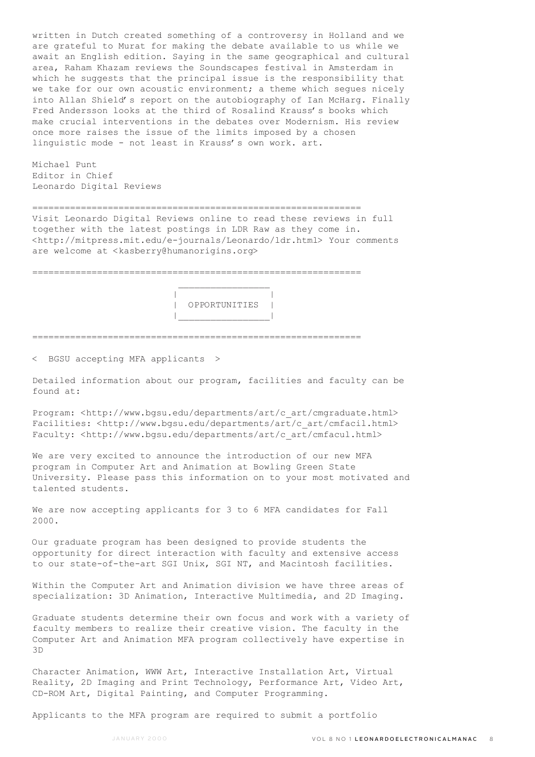written in Dutch created something of a controversy in Holland and we are grateful to Murat for making the debate available to us while we await an English edition. Saying in the same geographical and cultural area, Raham Khazam reviews the Soundscapes festival in Amsterdam in which he suggests that the principal issue is the responsibility that we take for our own acoustic environment; a theme which segues nicely into Allan Shield's report on the autobiography of Ian McHarg. Finally Fred Andersson looks at the third of Rosalind Krauss's books which make crucial interventions in the debates over Modernism. His review once more raises the issue of the limits imposed by a chosen linguistic mode - not least in Krauss's own work. art.

Michael Punt Editor in Chief Leonardo Digital Reviews

============================================================= Visit Leonardo Digital Reviews online to read these reviews in full together with the latest postings in LDR Raw as they come in. <http://mitpress.mit.edu/e-journals/Leonardo/ldr.html> Your comments are welcome at <kasberry@humanorigins.org>

=============================================================



=============================================================

< BGSU accepting MFA applicants >

 $\mathcal{L}_\text{max}$  and  $\mathcal{L}_\text{max}$  and  $\mathcal{L}_\text{max}$  and  $\mathcal{L}_\text{max}$ 

Detailed information about our program, facilities and faculty can be found at:

Program: <http://www.bgsu.edu/departments/art/c\_art/cmgraduate.html> Facilities: <http://www.bqsu.edu/departments/art/c art/cmfacil.html> Faculty: <http://www.bgsu.edu/departments/art/c\_art/cmfacul.html>

We are very excited to announce the introduction of our new MFA program in Computer Art and Animation at Bowling Green State University. Please pass this information on to your most motivated and talented students.

We are now accepting applicants for 3 to 6 MFA candidates for Fall 2000.

Our graduate program has been designed to provide students the opportunity for direct interaction with faculty and extensive access to our state-of-the-art SGI Unix, SGI NT, and Macintosh facilities.

Within the Computer Art and Animation division we have three areas of specialization: 3D Animation, Interactive Multimedia, and 2D Imaging.

Graduate students determine their own focus and work with a variety of faculty members to realize their creative vision. The faculty in the Computer Art and Animation MFA program collectively have expertise in 3D

Character Animation, WWW Art, Interactive Installation Art, Virtual Reality, 2D Imaging and Print Technology, Performance Art, Video Art, CD-ROM Art, Digital Painting, and Computer Programming.

Applicants to the MFA program are required to submit a portfolio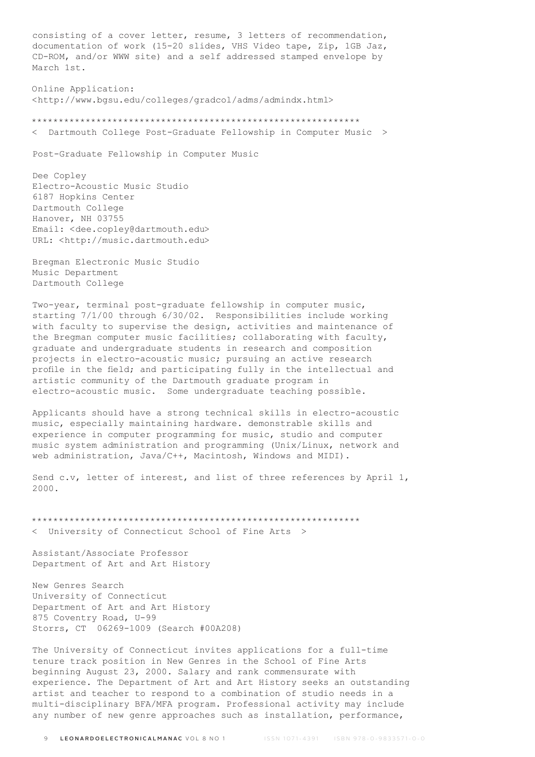consisting of a cover letter, resume, 3 letters of recommendation, documentation of work (15-20 slides, VHS Video tape, Zip, 1GB Jaz, CD-ROM, and/or WWW site) and a self addressed stamped envelope by March 1st.

Online Application: <http://www.bgsu.edu/colleges/gradcol/adms/admindx.html>

\*\*\*\*\*\*\*\*\*\*\*\*\*\*\*\*\*\*\*\*\*\*\*\*\*\*\*\*\*\*\*\*\*\*\*\*\*\*\*\*\*\*\*\*\*\*\*\*\*\*\*\*\*\*\*\*\*\*\*\*\* < Dartmouth College Post-Graduate Fellowship in Computer Music >

Post-Graduate Fellowship in Computer Music

Dee Copley Electro-Acoustic Music Studio 6187 Hopkins Center Dartmouth College Hanover, NH 03755 Email: <dee.copley@dartmouth.edu> URL: <http://music.dartmouth.edu>

Bregman Electronic Music Studio Music Department Dartmouth College

Two-year, terminal post-graduate fellowship in computer music, starting 7/1/00 through 6/30/02. Responsibilities include working with faculty to supervise the design, activities and maintenance of the Bregman computer music facilities; collaborating with faculty, graduate and undergraduate students in research and composition projects in electro-acoustic music; pursuing an active research profile in the field; and participating fully in the intellectual and artistic community of the Dartmouth graduate program in electro-acoustic music. Some undergraduate teaching possible.

Applicants should have a strong technical skills in electro-acoustic music, especially maintaining hardware. demonstrable skills and experience in computer programming for music, studio and computer music system administration and programming (Unix/Linux, network and web administration, Java/C++, Macintosh, Windows and MIDI).

Send c.v, letter of interest, and list of three references by April 1, 2000.

\*\*\*\*\*\*\*\*\*\*\*\*\*\*\*\*\*\*\*\*\*\*\*\*\*\*\*\*\*\*\*\*\*\*\*\*\*\*\*\*\*\*\*\*\*\*\*\*\*\*\*\*\*\*\*\*\*\*\*\*\* < University of Connecticut School of Fine Arts >

Assistant/Associate Professor Department of Art and Art History

New Genres Search University of Connecticut Department of Art and Art History 875 Coventry Road, U-99 Storrs, CT 06269-1009 (Search #00A208)

The University of Connecticut invites applications for a full-time tenure track position in New Genres in the School of Fine Arts beginning August 23, 2000. Salary and rank commensurate with experience. The Department of Art and Art History seeks an outstanding artist and teacher to respond to a combination of studio needs in a multi-disciplinary BFA/MFA program. Professional activity may include any number of new genre approaches such as installation, performance,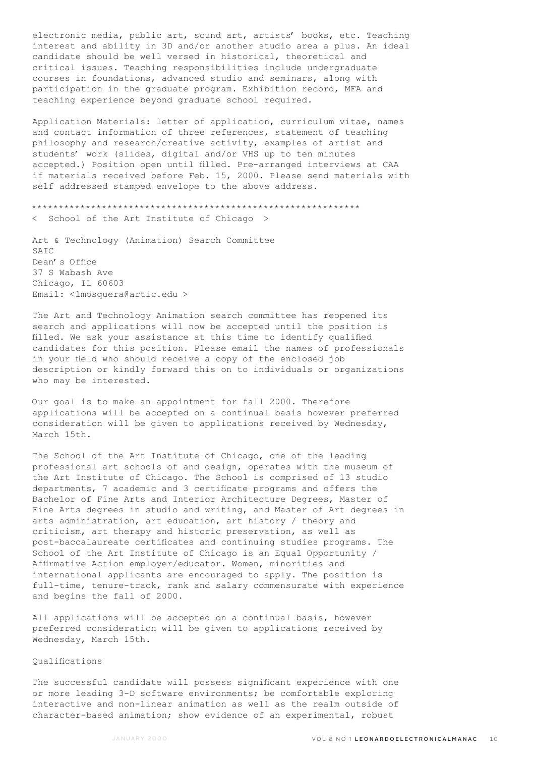electronic media, public art, sound art, artists' books, etc. Teaching interest and ability in 3D and/or another studio area a plus. An ideal candidate should be well versed in historical, theoretical and critical issues. Teaching responsibilities include undergraduate courses in foundations, advanced studio and seminars, along with participation in the graduate program. Exhibition record, MFA and teaching experience beyond graduate school required.

Application Materials: letter of application, curriculum vitae, names and contact information of three references, statement of teaching philosophy and research/creative activity, examples of artist and students' work (slides, digital and/or VHS up to ten minutes accepted.) Position open until filled. Pre-arranged interviews at CAA if materials received before Feb. 15, 2000. Please send materials with self addressed stamped envelope to the above address.

\*\*\*\*\*\*\*\*\*\*\*\*\*\*\*\*\*\*\*\*\*\*\*\*\*\*\*\*\*\*\*\*\*\*\*\*\*\*\*\*\*\*\*\*\*\*\*\*\*\*\*\*\*\*\*\*\*\*\*\*\* < School of the Art Institute of Chicago >

Art & Technology (Animation) Search Committee  $SATC$ Dean's Office 37 S Wabash Ave Chicago, IL 60603 Email: <lmosquera@artic.edu >

The Art and Technology Animation search committee has reopened its search and applications will now be accepted until the position is filled. We ask your assistance at this time to identify qualified candidates for this position. Please email the names of professionals in your field who should receive a copy of the enclosed job description or kindly forward this on to individuals or organizations who may be interested.

Our goal is to make an appointment for fall 2000. Therefore applications will be accepted on a continual basis however preferred consideration will be given to applications received by Wednesday, March 15th.

The School of the Art Institute of Chicago, one of the leading professional art schools of and design, operates with the museum of the Art Institute of Chicago. The School is comprised of 13 studio departments, 7 academic and 3 certificate programs and offers the Bachelor of Fine Arts and Interior Architecture Degrees, Master of Fine Arts degrees in studio and writing, and Master of Art degrees in arts administration, art education, art history / theory and criticism, art therapy and historic preservation, as well as post-baccalaureate certificates and continuing studies programs. The School of the Art Institute of Chicago is an Equal Opportunity / Affirmative Action employer/educator. Women, minorities and international applicants are encouraged to apply. The position is full-time, tenure-track, rank and salary commensurate with experience and begins the fall of 2000.

All applications will be accepted on a continual basis, however preferred consideration will be given to applications received by Wednesday, March 15th.

#### Qualifications

The successful candidate will possess significant experience with one or more leading 3-D software environments; be comfortable exploring interactive and non-linear animation as well as the realm outside of character-based animation; show evidence of an experimental, robust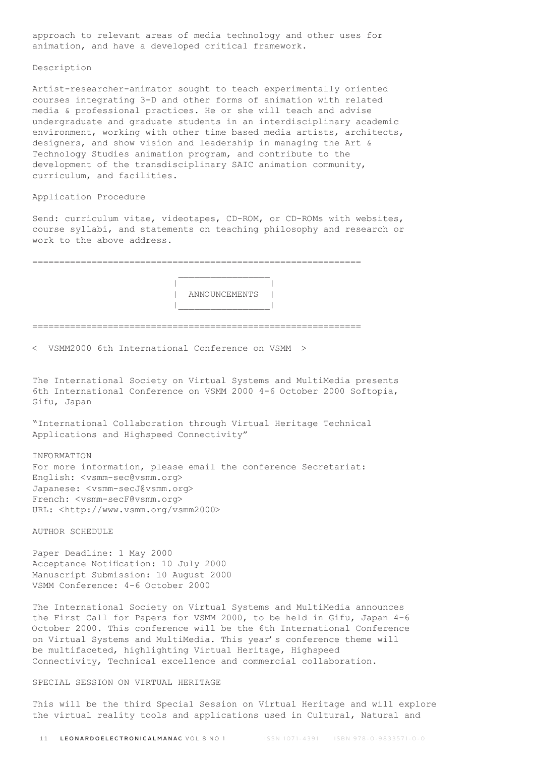approach to relevant areas of media technology and other uses for animation, and have a developed critical framework.

#### Description

Artist-researcher-animator sought to teach experimentally oriented courses integrating 3-D and other forms of animation with related media & professional practices. He or she will teach and advise undergraduate and graduate students in an interdisciplinary academic environment, working with other time based media artists, architects, designers, and show vision and leadership in managing the Art & Technology Studies animation program, and contribute to the development of the transdisciplinary SAIC animation community, curriculum, and facilities.

### Application Procedure

Send: curriculum vitae, videotapes, CD-ROM, or CD-ROMs with websites, course syllabi, and statements on teaching philosophy and research or work to the above address.

=============================================================  $\mathcal{L}_\text{max}$  and  $\mathcal{L}_\text{max}$  and  $\mathcal{L}_\text{max}$  and  $\mathcal{L}_\text{max}$  | | | ANNOUNCEMENTS | |\_\_\_\_\_\_\_\_\_\_\_\_\_\_\_\_\_| ============================================================= < VSMM2000 6th International Conference on VSMM >

The International Society on Virtual Systems and MultiMedia presents 6th International Conference on VSMM 2000 4-6 October 2000 Softopia, Gifu, Japan

"International Collaboration through Virtual Heritage Technical Applications and Highspeed Connectivity"

#### INFORMATION

For more information, please email the conference Secretariat: English: <vsmm-sec@vsmm.org> Japanese: <vsmm-secJ@vsmm.org> French: <vsmm-secF@vsmm.org> URL: <http://www.vsmm.org/vsmm2000>

AUTHOR SCHEDULE

Paper Deadline: 1 May 2000 Acceptance Notification: 10 July 2000 Manuscript Submission: 10 August 2000 VSMM Conference: 4-6 October 2000

The International Society on Virtual Systems and MultiMedia announces the First Call for Papers for VSMM 2000, to be held in Gifu, Japan 4-6 October 2000. This conference will be the 6th International Conference on Virtual Systems and MultiMedia. This year's conference theme will be multifaceted, highlighting Virtual Heritage, Highspeed Connectivity, Technical excellence and commercial collaboration.

## SPECIAL SESSION ON VIRTUAL HERITAGE

This will be the third Special Session on Virtual Heritage and will explore the virtual reality tools and applications used in Cultural, Natural and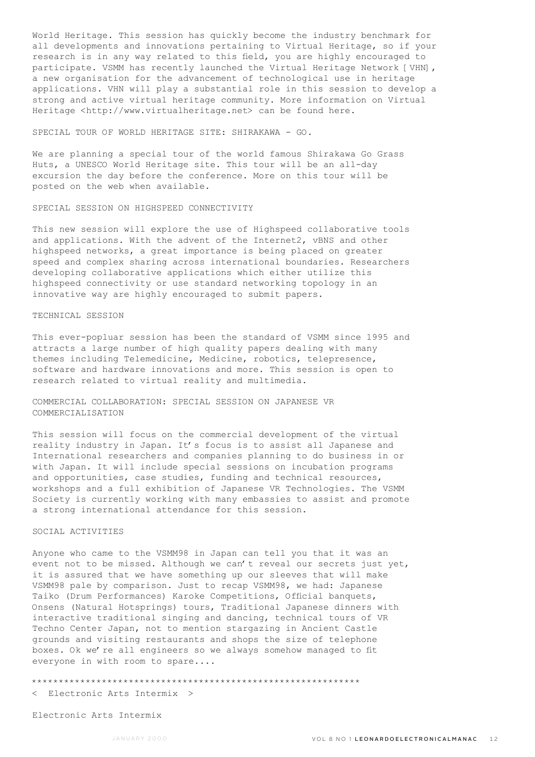World Heritage. This session has quickly become the industry benchmark for all developments and innovations pertaining to Virtual Heritage, so if your research is in any way related to this field, you are highly encouraged to participate. VSMM has recently launched the Virtual Heritage Network [VHN], a new organisation for the advancement of technological use in heritage applications. VHN will play a substantial role in this session to develop a strong and active virtual heritage community. More information on Virtual Heritage <http://www.virtualheritage.net> can be found here.

SPECIAL TOUR OF WORLD HERITAGE SITE: SHIRAKAWA - GO.

We are planning a special tour of the world famous Shirakawa Go Grass Huts, a UNESCO World Heritage site. This tour will be an all-day excursion the day before the conference. More on this tour will be posted on the web when available.

### SPECIAL SESSION ON HIGHSPEED CONNECTIVITY

This new session will explore the use of Highspeed collaborative tools and applications. With the advent of the Internet2, vBNS and other highspeed networks, a great importance is being placed on greater speed and complex sharing across international boundaries. Researchers developing collaborative applications which either utilize this highspeed connectivity or use standard networking topology in an innovative way are highly encouraged to submit papers.

### TECHNICAL SESSION

This ever-popluar session has been the standard of VSMM since 1995 and attracts a large number of high quality papers dealing with many themes including Telemedicine, Medicine, robotics, telepresence, software and hardware innovations and more. This session is open to research related to virtual reality and multimedia.

COMMERCIAL COLLABORATION: SPECIAL SESSION ON JAPANESE VR COMMERCIALISATION

This session will focus on the commercial development of the virtual reality industry in Japan. It's focus is to assist all Japanese and International researchers and companies planning to do business in or with Japan. It will include special sessions on incubation programs and opportunities, case studies, funding and technical resources, workshops and a full exhibition of Japanese VR Technologies. The VSMM Society is currently working with many embassies to assist and promote a strong international attendance for this session.

### SOCIAL ACTIVITIES

Anyone who came to the VSMM98 in Japan can tell you that it was an event not to be missed. Although we can't reveal our secrets just yet, it is assured that we have something up our sleeves that will make VSMM98 pale by comparison. Just to recap VSMM98, we had: Japanese Taiko (Drum Performances) Karoke Competitions, Official banquets, Onsens (Natural Hotsprings) tours, Traditional Japanese dinners with interactive traditional singing and dancing, technical tours of VR Techno Center Japan, not to mention stargazing in Ancient Castle grounds and visiting restaurants and shops the size of telephone boxes. Ok we're all engineers so we always somehow managed to fit everyone in with room to spare....

\*\*\*\*\*\*\*\*\*\*\*\*\*\*\*\*\*\*\*\*\*\*\*\*\*\*\*\*\*\*\*\*\*\*\*\*\*\*\*\*\*\*\*\*\*\*\*\*\*\*\*\*\*\*\*\*\*\*\*\*\*

< Electronic Arts Intermix >

Electronic Arts Intermix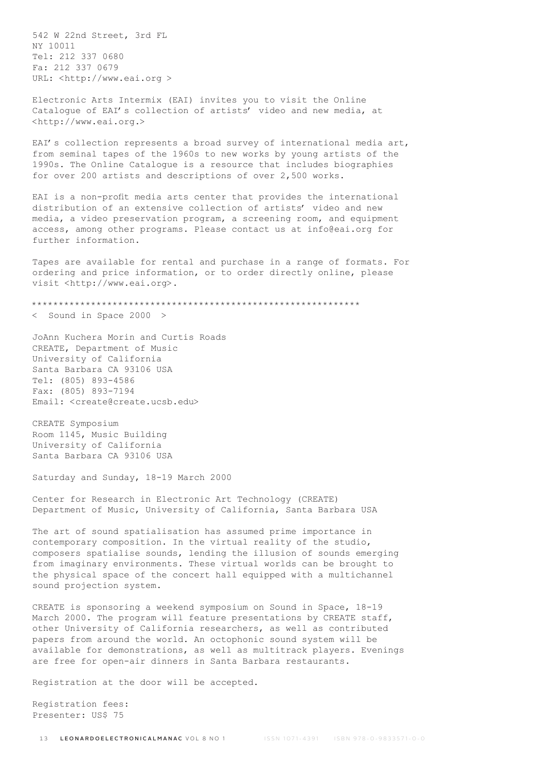542 W 22nd Street, 3rd FL NY 10011 Tel: 212 337 0680 Fa: 212 337 0679 URL: <http://www.eai.org >

Electronic Arts Intermix (EAI) invites you to visit the Online Catalogue of EAI's collection of artists' video and new media, at <http://www.eai.org.>

EAI's collection represents a broad survey of international media art, from seminal tapes of the 1960s to new works by young artists of the 1990s. The Online Catalogue is a resource that includes biographies for over 200 artists and descriptions of over 2,500 works.

EAI is a non-profit media arts center that provides the international distribution of an extensive collection of artists' video and new media, a video preservation program, a screening room, and equipment access, among other programs. Please contact us at info@eai.org for further information.

Tapes are available for rental and purchase in a range of formats. For ordering and price information, or to order directly online, please visit <http://www.eai.org>.

```
*************************************************************
< Sound in Space 2000 >
```
JoAnn Kuchera Morin and Curtis Roads CREATE, Department of Music University of California Santa Barbara CA 93106 USA Tel: (805) 893-4586 Fax: (805) 893-7194 Email: <create@create.ucsb.edu>

CREATE Symposium Room 1145, Music Building University of California Santa Barbara CA 93106 USA

Saturday and Sunday, 18-19 March 2000

Center for Research in Electronic Art Technology (CREATE) Department of Music, University of California, Santa Barbara USA

The art of sound spatialisation has assumed prime importance in contemporary composition. In the virtual reality of the studio, composers spatialise sounds, lending the illusion of sounds emerging from imaginary environments. These virtual worlds can be brought to the physical space of the concert hall equipped with a multichannel sound projection system.

CREATE is sponsoring a weekend symposium on Sound in Space, 18-19 March 2000. The program will feature presentations by CREATE staff, other University of California researchers, as well as contributed papers from around the world. An octophonic sound system will be available for demonstrations, as well as multitrack players. Evenings are free for open-air dinners in Santa Barbara restaurants.

Registration at the door will be accepted.

Registration fees: Presenter: US\$ 75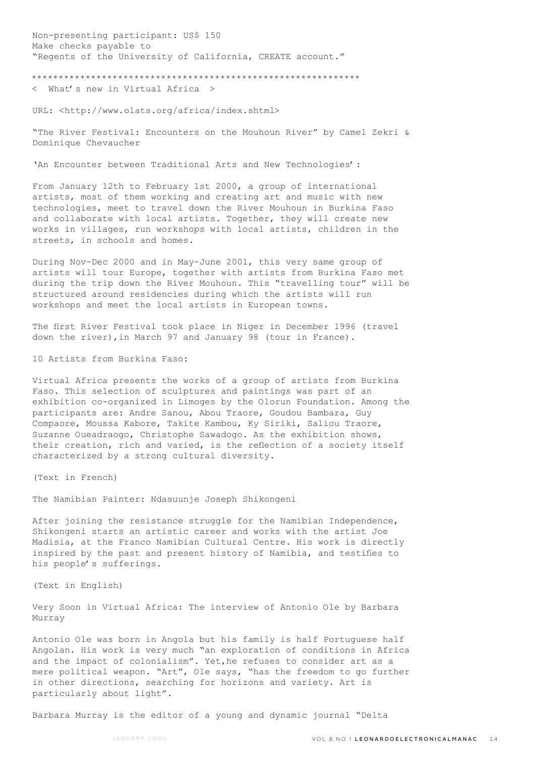Non-presenting participant: US\$ 150 Make checks payable to "Regents of the University of California, CREATE account." \*\*\*\*\*\*\*\*\*\*\*\*\*\*\*\*\*\*\*\*\*\*\*\*\*\*\*\*\*\*\*\*\*\*\*\*\*\*\*\*\*\*\*\*\*\*\*\*\*\*\*\*\*\*\*\*\*\*\*\*\* < What's new in Virtual Africa >

URL: <http://www.olats.org/africa/index.shtml>

"The River Festival: Encounters on the Mouhoun River" by Camel Zekri & Dominique Chevaucher

'An Encounter between Traditional Arts and New Technologies':

From January 12th to February 1st 2000, a group of international artists, most of them working and creating art and music with new technologies, meet to travel down the River Mouhoun in Burkina Faso and collaborate with local artists. Together, they will create new works in villages, run workshops with local artists, children in the streets, in schools and homes.

During Nov-Dec 2000 and in May-June 2001, this very same group of artists will tour Europe, together with artists from Burkina Faso met during the trip down the River Mouhoun. This "travelling tour" will be structured around residencies during which the artists will run workshops and meet the local artists in European towns.

The first River Festival took place in Niger in December 1996 (travel down the river),in March 97 and January 98 (tour in France).

10 Artists from Burkina Faso:

Virtual Africa presents the works of a group of artists from Burkina Faso. This selection of sculptures and paintings was part of an exhibition co-organized in Limoges by the Olorun Foundation. Among the participants are: Andre Sanou, Abou Traore, Goudou Bambara, Guy Compaore, Moussa Kabore, Takite Kambou, Ky Siriki, Saliou Traore, Suzanne Oueadraogo, Christophe Sawadogo. As the exhibition shows, their creation, rich and varied, is the reflection of a society itself characterized by a strong cultural diversity.

(Text in French)

The Namibian Painter: Ndasuunje Joseph Shikongeni

After joining the resistance struggle for the Namibian Independence, Shikongeni starts an artistic career and works with the artist Joe Madisia, at the Franco Namibian Cultural Centre. His work is directly inspired by the past and present history of Namibia, and testifies to his people's sufferings.

(Text in English)

Very Soon in Virtual Africa: The interview of Antonio Ole by Barbara Murray

Antonio Ole was born in Angola but his family is half Portuguese half Angolan. His work is very much "an exploration of conditions in Africa and the impact of colonialism". Yet,he refuses to consider art as a mere political weapon. "Art", Ole says, "has the freedom to go further in other directions, searching for horizons and variety. Art is particularly about light".

Barbara Murray is the editor of a young and dynamic journal "Delta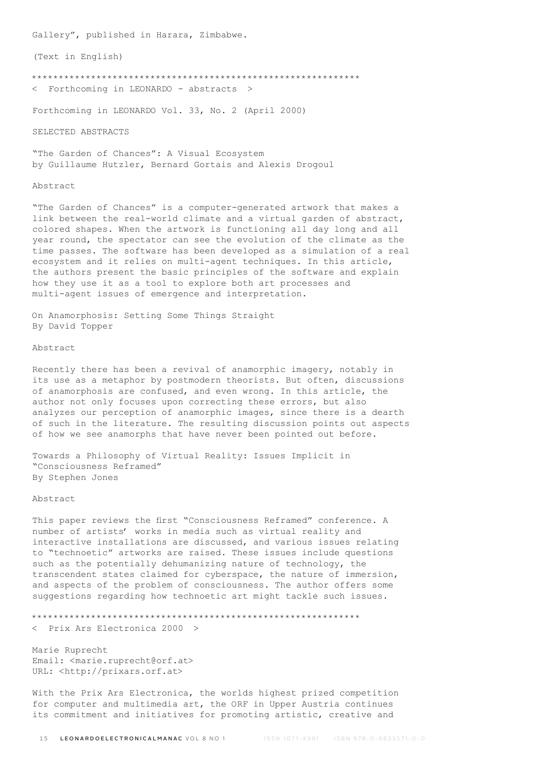Gallery", published in Harara, Zimbabwe.

(Text in English)

\*\*\*\*\*\*\*\*\*\*\*\*\*\*\*\*\*\*\*\*\*\*\*\*\*\*\*\*\*\*\*\*\*\*\*\*\*\*\*\*\*\*\*\*\*\*\*\*\*\*\*\*\*\*\*\*\*\*\*\*\*

< Forthcoming in LEONARDO - abstracts >

Forthcoming in LEONARDO Vol. 33, No. 2 (April 2000)

SELECTED ABSTRACTS

"The Garden of Chances": A Visual Ecosystem by Guillaume Hutzler, Bernard Gortais and Alexis Drogoul

#### Abstract

"The Garden of Chances" is a computer-generated artwork that makes a link between the real-world climate and a virtual garden of abstract, colored shapes. When the artwork is functioning all day long and all year round, the spectator can see the evolution of the climate as the time passes. The software has been developed as a simulation of a real ecosystem and it relies on multi-agent techniques. In this article, the authors present the basic principles of the software and explain how they use it as a tool to explore both art processes and multi-agent issues of emergence and interpretation.

On Anamorphosis: Setting Some Things Straight By David Topper

### Abstract

Recently there has been a revival of anamorphic imagery, notably in its use as a metaphor by postmodern theorists. But often, discussions of anamorphosis are confused, and even wrong. In this article, the author not only focuses upon correcting these errors, but also analyzes our perception of anamorphic images, since there is a dearth of such in the literature. The resulting discussion points out aspects of how we see anamorphs that have never been pointed out before.

Towards a Philosophy of Virtual Reality: Issues Implicit in "Consciousness Reframed" By Stephen Jones

### Abstract

This paper reviews the first "Consciousness Reframed" conference. A number of artists' works in media such as virtual reality and interactive installations are discussed, and various issues relating to "technoetic" artworks are raised. These issues include questions such as the potentially dehumanizing nature of technology, the transcendent states claimed for cyberspace, the nature of immersion, and aspects of the problem of consciousness. The author offers some suggestions regarding how technoetic art might tackle such issues.

\*\*\*\*\*\*\*\*\*\*\*\*\*\*\*\*\*\*\*\*\*\*\*\*\*\*\*\*\*\*\*\*\*\*\*\*\*\*\*\*\*\*\*\*\*\*\*\*\*\*\*\*\*\*\*\*\*\*\*\*\*

< Prix Ars Electronica 2000 >

Marie Ruprecht Email: <marie.ruprecht@orf.at> URL: <http://prixars.orf.at>

With the Prix Ars Electronica, the worlds highest prized competition for computer and multimedia art, the ORF in Upper Austria continues its commitment and initiatives for promoting artistic, creative and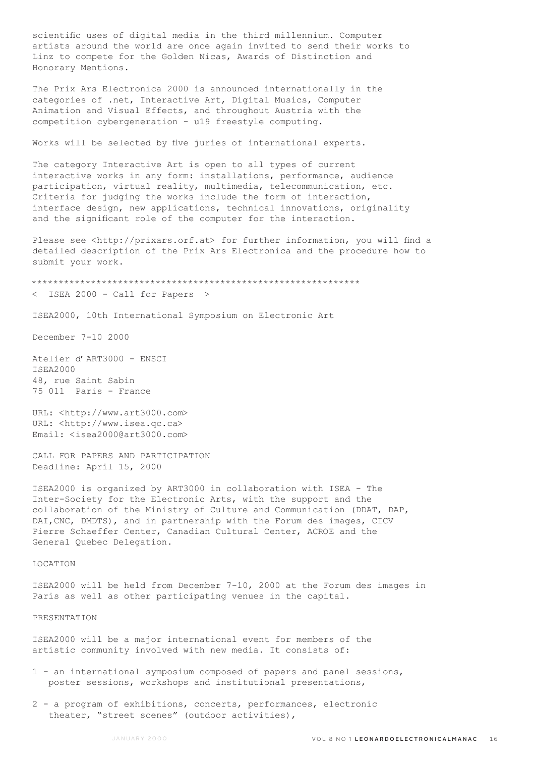scientific uses of digital media in the third millennium. Computer artists around the world are once again invited to send their works to Linz to compete for the Golden Nicas, Awards of Distinction and Honorary Mentions.

The Prix Ars Electronica 2000 is announced internationally in the categories of .net, Interactive Art, Digital Musics, Computer Animation and Visual Effects, and throughout Austria with the competition cybergeneration - u19 freestyle computing.

Works will be selected by five juries of international experts.

The category Interactive Art is open to all types of current interactive works in any form: installations, performance, audience participation, virtual reality, multimedia, telecommunication, etc. Criteria for judging the works include the form of interaction, interface design, new applications, technical innovations, originality and the significant role of the computer for the interaction.

Please see <http://prixars.orf.at> for further information, you will find a detailed description of the Prix Ars Electronica and the procedure how to submit your work.

\*\*\*\*\*\*\*\*\*\*\*\*\*\*\*\*\*\*\*\*\*\*\*\*\*\*\*\*\*\*\*\*\*\*\*\*\*\*\*\*\*\*\*\*\*\*\*\*\*\*\*\*\*\*\*\*\*\*\*\*\*

< ISEA 2000 - Call for Papers >

ISEA2000, 10th International Symposium on Electronic Art

December 7-10 2000

Atelier d'ART3000 - ENSCI ISEA2000 48, rue Saint Sabin 75 011 Paris - France

URL: <http://www.art3000.com> URL: <http://www.isea.qc.ca> Email: <isea2000@art3000.com>

CALL FOR PAPERS AND PARTICIPATION Deadline: April 15, 2000

ISEA2000 is organized by ART3000 in collaboration with ISEA - The Inter-Society for the Electronic Arts, with the support and the collaboration of the Ministry of Culture and Communication (DDAT, DAP, DAI,CNC, DMDTS), and in partnership with the Forum des images, CICV Pierre Schaeffer Center, Canadian Cultural Center, ACROE and the General Quebec Delegation.

LOCATION

ISEA2000 will be held from December 7-10, 2000 at the Forum des images in Paris as well as other participating venues in the capital.

PRESENTATION

ISEA2000 will be a major international event for members of the artistic community involved with new media. It consists of:

- 1 an international symposium composed of papers and panel sessions, poster sessions, workshops and institutional presentations,
- 2 a program of exhibitions, concerts, performances, electronic theater, "street scenes" (outdoor activities),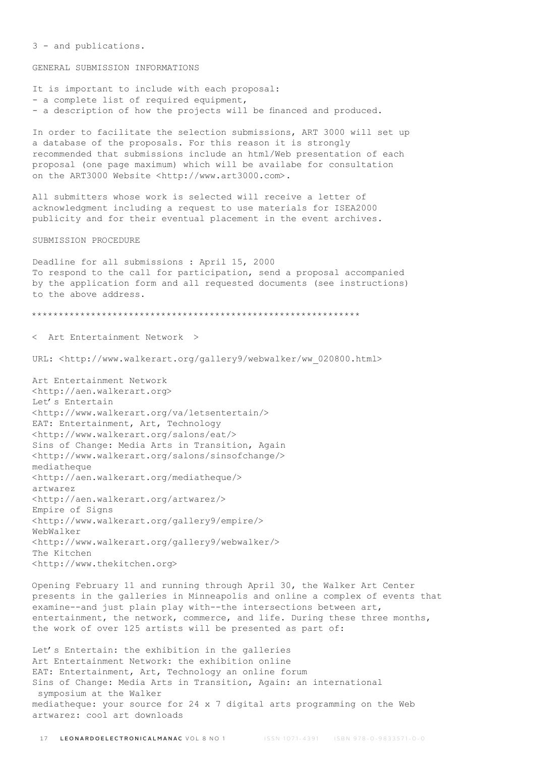3 - and publications.

GENERAL SUBMISSION INFORMATIONS

It is important to include with each proposal: - a complete list of required equipment, - a description of how the projects will be financed and produced. In order to facilitate the selection submissions, ART 3000 will set up a database of the proposals. For this reason it is strongly recommended that submissions include an html/Web presentation of each proposal (one page maximum) which will be availabe for consultation on the ART3000 Website <http://www.art3000.com>. All submitters whose work is selected will receive a letter of acknowledgment including a request to use materials for ISEA2000 publicity and for their eventual placement in the event archives. SUBMISSION PROCEDURE Deadline for all submissions : April 15, 2000 To respond to the call for participation, send a proposal accompanied by the application form and all requested documents (see instructions) to the above address. \*\*\*\*\*\*\*\*\*\*\*\*\*\*\*\*\*\*\*\*\*\*\*\*\*\*\*\*\*\*\*\*\*\*\*\*\*\*\*\*\*\*\*\*\*\*\*\*\*\*\*\*\*\*\*\*\*\*\*\*\* < Art Entertainment Network > URL: <http://www.walkerart.org/gallery9/webwalker/ww\_020800.html> Art Entertainment Network <http://aen.walkerart.org> Let's Entertain <http://www.walkerart.org/va/letsentertain/> EAT: Entertainment, Art, Technology <http://www.walkerart.org/salons/eat/> Sins of Change: Media Arts in Transition, Again <http://www.walkerart.org/salons/sinsofchange/> mediatheque <http://aen.walkerart.org/mediatheque/> artwarez <http://aen.walkerart.org/artwarez/> Empire of Signs <http://www.walkerart.org/gallery9/empire/> WebWalker <http://www.walkerart.org/gallery9/webwalker/> The Kitchen <http://www.thekitchen.org> Opening February 11 and running through April 30, the Walker Art Center presents in the galleries in Minneapolis and online a complex of events that examine--and just plain play with--the intersections between art, entertainment, the network, commerce, and life. During these three months, the work of over 125 artists will be presented as part of: Let's Entertain: the exhibition in the galleries

Art Entertainment Network: the exhibition online EAT: Entertainment, Art, Technology an online forum Sins of Change: Media Arts in Transition, Again: an international symposium at the Walker mediatheque: your source for 24  $\times$  7 digital arts programming on the Web artwarez: cool art downloads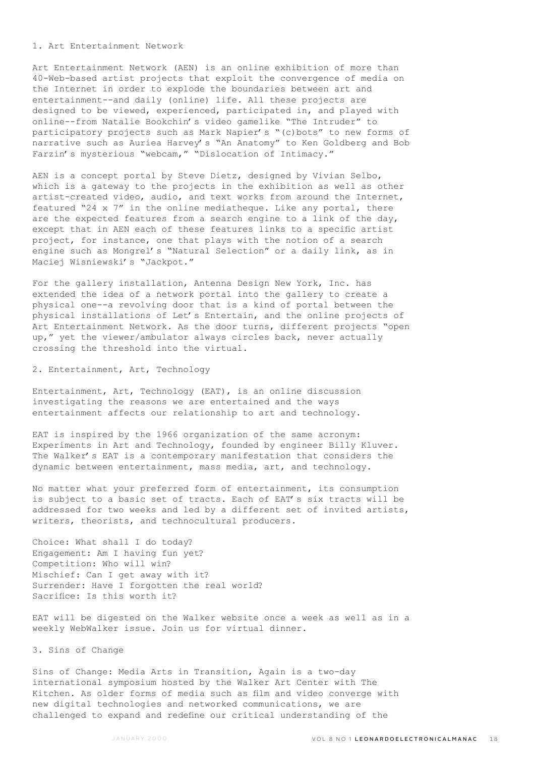#### 1. Art Entertainment Network

Art Entertainment Network (AEN) is an online exhibition of more than 40-Web-based artist projects that exploit the convergence of media on the Internet in order to explode the boundaries between art and entertainment--and daily (online) life. All these projects are designed to be viewed, experienced, participated in, and played with online--from Natalie Bookchin's video gamelike "The Intruder" to participatory projects such as Mark Napier's "(c)bots" to new forms of narrative such as Auriea Harvey's "An Anatomy" to Ken Goldberg and Bob Farzin's mysterious "webcam," "Dislocation of Intimacy."

AEN is a concept portal by Steve Dietz, designed by Vivian Selbo, which is a gateway to the projects in the exhibition as well as other artist-created video, audio, and text works from around the Internet, featured "24 x 7" in the online mediatheque. Like any portal, there are the expected features from a search engine to a link of the day, except that in AEN each of these features links to a specific artist project, for instance, one that plays with the notion of a search engine such as Mongrel's "Natural Selection" or a daily link, as in Maciej Wisniewski's "Jackpot."

For the gallery installation, Antenna Design New York, Inc. has extended the idea of a network portal into the gallery to create a physical one--a revolving door that is a kind of portal between the physical installations of Let's Entertain, and the online projects of Art Entertainment Network. As the door turns, different projects "open up," yet the viewer/ambulator always circles back, never actually crossing the threshold into the virtual.

# 2. Entertainment, Art, Technology

Entertainment, Art, Technology (EAT), is an online discussion investigating the reasons we are entertained and the ways entertainment affects our relationship to art and technology.

EAT is inspired by the 1966 organization of the same acronym: Experiments in Art and Technology, founded by engineer Billy Kluver. The Walker's EAT is a contemporary manifestation that considers the dynamic between entertainment, mass media, art, and technology.

No matter what your preferred form of entertainment, its consumption is subject to a basic set of tracts. Each of EAT's six tracts will be addressed for two weeks and led by a different set of invited artists, writers, theorists, and technocultural producers.

Choice: What shall I do today? Engagement: Am I having fun yet? Competition: Who will win? Mischief: Can I get away with it? Surrender: Have I forgotten the real world? Sacrifice: Is this worth it?

EAT will be digested on the Walker website once a week as well as in a weekly WebWalker issue. Join us for virtual dinner.

#### 3. Sins of Change

Sins of Change: Media Arts in Transition, Again is a two-day international symposium hosted by the Walker Art Center with The Kitchen. As older forms of media such as film and video converge with new digital technologies and networked communications, we are challenged to expand and redefine our critical understanding of the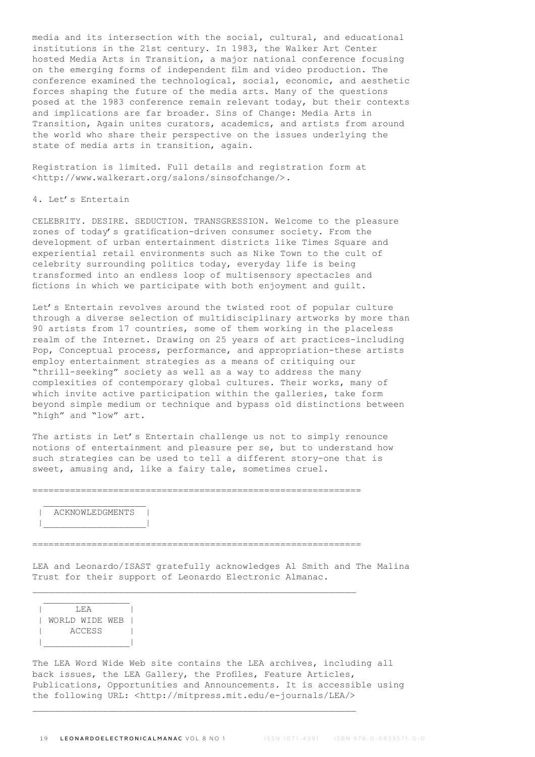media and its intersection with the social, cultural, and educational institutions in the 21st century. In 1983, the Walker Art Center hosted Media Arts in Transition, a major national conference focusing on the emerging forms of independent film and video production. The conference examined the technological, social, economic, and aesthetic forces shaping the future of the media arts. Many of the questions posed at the 1983 conference remain relevant today, but their contexts and implications are far broader. Sins of Change: Media Arts in Transition, Again unites curators, academics, and artists from around the world who share their perspective on the issues underlying the state of media arts in transition, again.

Registration is limited. Full details and registration form at <http://www.walkerart.org/salons/sinsofchange/>.

### 4. Let's Entertain

CELEBRITY. DESIRE. SEDUCTION. TRANSGRESSION. Welcome to the pleasure zones of today's gratification-driven consumer society. From the development of urban entertainment districts like Times Square and experiential retail environments such as Nike Town to the cult of celebrity surrounding politics today, everyday life is being transformed into an endless loop of multisensory spectacles and fictions in which we participate with both enjoyment and guilt.

Let's Entertain revolves around the twisted root of popular culture through a diverse selection of multidisciplinary artworks by more than 90 artists from 17 countries, some of them working in the placeless realm of the Internet. Drawing on 25 years of art practices-including Pop, Conceptual process, performance, and appropriation-these artists employ entertainment strategies as a means of critiquing our "thrill-seeking" society as well as a way to address the many complexities of contemporary global cultures. Their works, many of which invite active participation within the galleries, take form beyond simple medium or technique and bypass old distinctions between "high" and "low" art.

The artists in Let's Entertain challenge us not to simply renounce notions of entertainment and pleasure per se, but to understand how such strategies can be used to tell a different story-one that is sweet, amusing and, like a fairy tale, sometimes cruel.

=============================================================

# | ACKNOWLEDGMENTS | |\_\_\_\_\_\_\_\_\_\_\_\_\_\_\_\_\_\_\_|

=============================================================

 $\_$  , and the set of the set of the set of the set of the set of the set of the set of the set of the set of the set of the set of the set of the set of the set of the set of the set of the set of the set of the set of th

 $\_$  , and the set of the set of the set of the set of the set of the set of the set of the set of the set of the set of the set of the set of the set of the set of the set of the set of the set of the set of the set of th

LEA and Leonardo/ISAST gratefully acknowledges Al Smith and The Malina Trust for their support of Leonardo Electronic Almanac.

 $\frac{1}{2}$  ,  $\frac{1}{2}$  ,  $\frac{1}{2}$  ,  $\frac{1}{2}$  ,  $\frac{1}{2}$  ,  $\frac{1}{2}$  ,  $\frac{1}{2}$  ,  $\frac{1}{2}$  ,  $\frac{1}{2}$  ,  $\frac{1}{2}$  ,  $\frac{1}{2}$  ,  $\frac{1}{2}$  ,  $\frac{1}{2}$  ,  $\frac{1}{2}$  ,  $\frac{1}{2}$  ,  $\frac{1}{2}$  ,  $\frac{1}{2}$  ,  $\frac{1}{2}$  ,  $\frac{1$ | <del>LEA</del> | | WORLD WIDE WEB | | ACCESS | |\_\_\_\_\_\_\_\_\_\_\_\_\_\_\_\_|

The LEA Word Wide Web site contains the LEA archives, including all back issues, the LEA Gallery, the Profiles, Feature Articles, Publications, Opportunities and Announcements. It is accessible using the following URL: <http://mitpress.mit.edu/e-journals/LEA/>